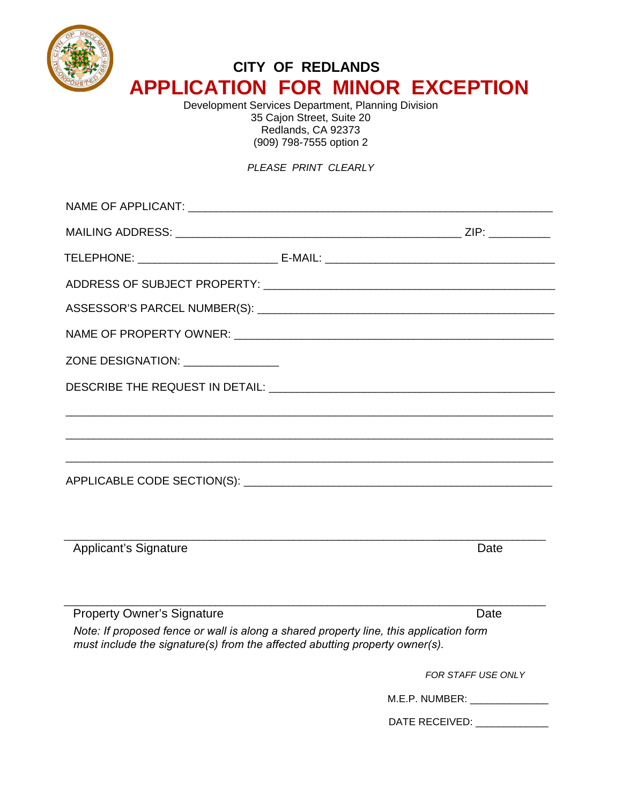

## **CITY OF REDLANDS APPLICATION FOR MINOR EXCEPTION**

Development Services Department, Planning Division 35 Cajon Street, Suite 20 Redlands, CA 92373 (909) 798-7555 option 2

## *PLEASE PRINT CLEARLY*

| ZONE DESIGNATION: ________________ |      |
|------------------------------------|------|
|                                    |      |
|                                    |      |
|                                    |      |
| <b>Applicant's Signature</b>       | Date |
| <b>Property Owner's Signature</b>  | Date |

*Note: If proposed fence or wall is along a shared property line, this application form must include the signature(s) from the affected abutting property owner(s).*

*FOR STAFF USE ONLY* 

| M.E.P. NUMBER: |  |
|----------------|--|
|----------------|--|

DATE RECEIVED: \_\_\_\_\_\_\_\_\_\_\_\_\_\_\_\_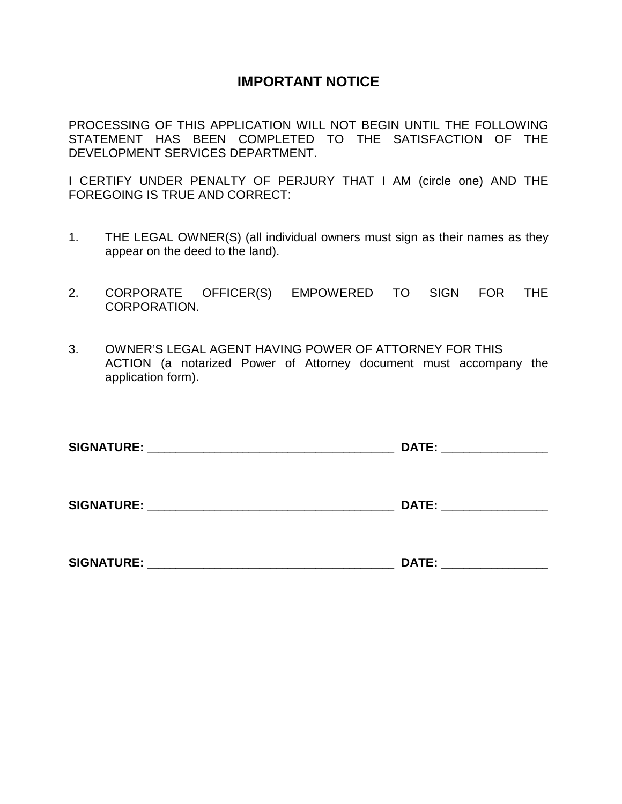## **IMPORTANT NOTICE**

PROCESSING OF THIS APPLICATION WILL NOT BEGIN UNTIL THE FOLLOWING STATEMENT HAS BEEN COMPLETED TO THE SATISFACTION OF THE DEVELOPMENT SERVICES DEPARTMENT.

I CERTIFY UNDER PENALTY OF PERJURY THAT I AM (circle one) AND THE FOREGOING IS TRUE AND CORRECT:

- 1. THE LEGAL OWNER(S) (all individual owners must sign as their names as they appear on the deed to the land).
- 2. CORPORATE OFFICER(S) EMPOWERED TO SIGN FOR THE CORPORATION.
- 3. OWNER'S LEGAL AGENT HAVING POWER OF ATTORNEY FOR THIS ACTION (a notarized Power of Attorney document must accompany the application form).

| <b>SIGNATURE:</b> | <b>DATE:</b>                                                |
|-------------------|-------------------------------------------------------------|
|                   | the control of the control of the control of the control of |
| SIGNATURE:        | <b>DATE:</b>                                                |
|                   |                                                             |

| <b>SIGNATURE:</b> | . n |  |
|-------------------|-----|--|
|                   |     |  |